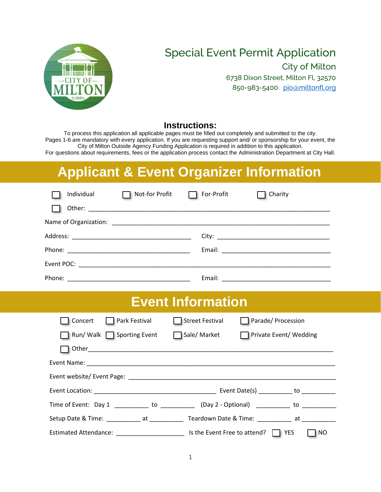

### Special Event Permit Application

City of Milton

6738 Dixon Street, Milton Fl, 32570 850-983-5400 [pio@miltonfl.org](mailto:pio@miltonfl.org)

### **Instructions:**

To process this application all applicable pages must be filled out completely and submitted to the city. Pages 1-6 are mandatory with every application. If you are requesting support and/ or sponsorship for your event, the City of Milton Outside Agency Funding Application is required in addition to this application. For questions about requirements, fees or the application process contact the Administration Department at City Hall.

# **Applicant & Event Organizer Information**

| Individual | Not-for Profit | For-Profit | Charity |
|------------|----------------|------------|---------|
|            |                |            |         |
|            |                |            |         |
|            |                |            |         |
|            |                |            |         |
|            |                |            |         |
|            |                | Email:     |         |

### **Event Information**

| Concert<br><b>Park Festival</b>                  | Street Festival              | Parade/ Procession                         |
|--------------------------------------------------|------------------------------|--------------------------------------------|
| □ Run/ Walk □ Sporting Event                     | Sale/ Market                 | Private Event/Wedding                      |
|                                                  |                              |                                            |
|                                                  |                              |                                            |
|                                                  |                              |                                            |
|                                                  |                              | Event Date(s) ____________ to ____________ |
| Time of Event: Day 1 to (Day 2 - Optional) to to |                              |                                            |
| Setup Date & Time: Teardown Date & Time: The at  |                              |                                            |
| Estimated Attendance: _______________________    | Is the Event Free to attend? | $\Box$ YES<br>NO.                          |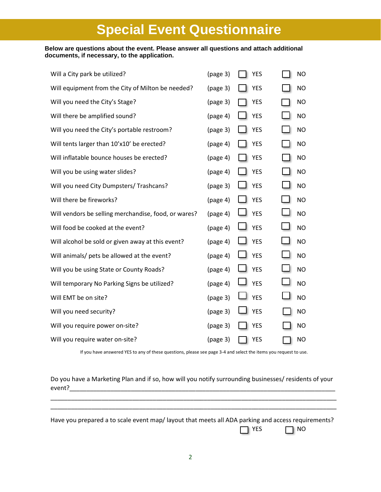## **Special Event Questionnaire**

#### **Below are questions about the event. Please answer all questions and attach additional documents, if necessary, to the application.**

| Will a City park be utilized?                        | (page 3) | <b>YES</b> | <b>NO</b> |
|------------------------------------------------------|----------|------------|-----------|
| Will equipment from the City of Milton be needed?    | (page 3) | <b>YES</b> | <b>NO</b> |
| Will you need the City's Stage?                      | (page 3) | YES        | <b>NO</b> |
| Will there be amplified sound?                       | (page 4) | <b>YES</b> | <b>NO</b> |
| Will you need the City's portable restroom?          | (page 3) | <b>YES</b> | <b>NO</b> |
| Will tents larger than 10'x10' be erected?           | (page 4) | <b>YES</b> | <b>NO</b> |
| Will inflatable bounce houses be erected?            | (page 4) | <b>YES</b> | <b>NO</b> |
| Will you be using water slides?                      | (page 4) | <b>YES</b> | <b>NO</b> |
| Will you need City Dumpsters/ Trashcans?             | (page 3) | <b>YES</b> | <b>NO</b> |
| Will there be fireworks?                             | (page 4) | <b>YES</b> | <b>NO</b> |
| Will vendors be selling merchandise, food, or wares? | (page 4) | <b>YES</b> | <b>NO</b> |
| Will food be cooked at the event?                    | (page 4) | <b>YES</b> | <b>NO</b> |
| Will alcohol be sold or given away at this event?    | (page 4) | <b>YES</b> | <b>NO</b> |
| Will animals/ pets be allowed at the event?          | (page 4) | <b>YES</b> | <b>NO</b> |
| Will you be using State or County Roads?             | (page 4) | <b>YES</b> | <b>NO</b> |
| Will temporary No Parking Signs be utilized?         | (page 4) | <b>YES</b> | <b>NO</b> |
| Will EMT be on site?                                 | (page 3) | <b>YES</b> | <b>NO</b> |
| Will you need security?                              | (page 3) | <b>YES</b> | <b>NO</b> |
| Will you require power on-site?                      | (page 3) | <b>YES</b> | <b>NO</b> |
| Will you require water on-site?                      | (page 3) | <b>YES</b> | <b>NO</b> |

If you have answered YES to any of these questions, please see page 3-4 and select the items you request to use.

Do you have a Marketing Plan and if so, how will you notify surrounding businesses/ residents of your event?\_\_\_\_\_\_\_\_\_\_\_\_\_\_\_\_\_\_\_\_\_\_\_\_\_\_\_\_\_\_\_\_\_\_\_\_\_\_\_\_\_\_\_\_\_\_\_\_\_\_\_\_\_\_\_\_\_\_\_\_\_\_\_\_\_\_\_\_\_\_\_\_\_\_\_\_\_\_

\_\_\_\_\_\_\_\_\_\_\_\_\_\_\_\_\_\_\_\_\_\_\_\_\_\_\_\_\_\_\_\_\_\_\_\_\_\_\_\_\_\_\_\_\_\_\_\_\_\_\_\_\_\_\_\_\_\_\_\_\_\_\_\_\_\_\_\_\_\_\_\_\_\_\_\_\_\_\_\_\_\_\_\_ \_\_\_\_\_\_\_\_\_\_\_\_\_\_\_\_\_\_\_\_\_\_\_\_\_\_\_\_\_\_\_\_\_\_\_\_\_\_\_\_\_\_\_\_\_\_\_\_\_\_\_\_\_\_\_\_\_\_\_\_\_\_\_\_\_\_\_\_\_\_\_\_\_\_\_\_\_\_\_\_\_\_\_\_

Have you prepared a to scale event map/ layout that meets all ADA parking and access requirements?  $\bigcap$  YES  $\bigcap$  NO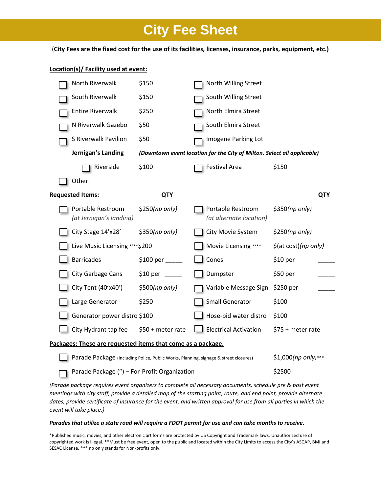## **City Fee Sheet**

(**City Fees are the fixed cost for the use of its facilities, licenses, insurance, parks, equipment, etc.)**

#### **Location(s)/ Facility used at event:**

| North Riverwalk                                                                      | \$150             | North Willing Street                                                    |                      |
|--------------------------------------------------------------------------------------|-------------------|-------------------------------------------------------------------------|----------------------|
| South Riverwalk                                                                      | \$150             | South Willing Street                                                    |                      |
| <b>Entire Riverwalk</b>                                                              | \$250             | North Elmira Street                                                     |                      |
| N Riverwalk Gazebo                                                                   | \$50              | South Elmira Street                                                     |                      |
| S Riverwalk Pavilion                                                                 | \$50              | Imogene Parking Lot                                                     |                      |
| Jernigan's Landing                                                                   |                   | (Downtown event location for the City of Milton. Select all applicable) |                      |
| Riverside                                                                            | \$100             | <b>Festival Area</b>                                                    | \$150                |
| Other:                                                                               |                   |                                                                         |                      |
| <b>Requested Items:</b>                                                              | <u>QTY</u>        |                                                                         | <u>QTY</u>           |
| Portable Restroom<br>(at Jernigan's landing)                                         | \$250(np only)    | Portable Restroom<br>(at alternate location)                            | \$350(np only)       |
| City Stage 14'x28'                                                                   | \$350(np only)    | City Movie System                                                       | \$250(np only)       |
| Live Music Licensing *** \$200                                                       |                   | Movie Licensing */**                                                    | \$(at cost)(np only) |
| <b>Barricades</b>                                                                    | \$100~per         | Cones                                                                   | \$10 per             |
| City Garbage Cans                                                                    |                   | Dumpster                                                                | \$50 per             |
| City Tent (40'x40')                                                                  | \$500(np only)    | Variable Message Sign                                                   | \$250 per            |
| Large Generator                                                                      | \$250             | Small Generator                                                         | \$100                |
| Generator power distro \$100                                                         |                   | Hose-bid water distro                                                   | \$100                |
| City Hydrant tap fee                                                                 | \$50 + meter rate | <b>Electrical Activation</b>                                            | \$75 + meter rate    |
| Packages: These are requested items that come as a package.                          |                   |                                                                         |                      |
| Parade Package (including Police, Public Works, Planning, signage & street closures) |                   |                                                                         | \$1,000(np only)***  |
| Parade Package (") - For-Profit Organization                                         |                   |                                                                         | \$2500               |
|                                                                                      |                   |                                                                         |                      |

*(Parade package requires event organizers to complete all necessary documents, schedule pre & post event meetings with city staff, provide a detailed map of the starting point, route, and end point, provide alternate dates, provide certificate of insurance for the event, and written approval for use from all parties in which the event will take place.)*

#### *Parades that utilize a state road will require a FDOT permit for use and can take months to receive.*

\*Published music, movies, and other electronic art forms are protected by US Copyright and Trademark laws. Unauthorized use of copyrighted work is illegal. \*\*Must be free event, open to the public and located within the City Limits to access the City's ASCAP, BMI and SESAC License. \*\*\* np only stands for Non-profits only.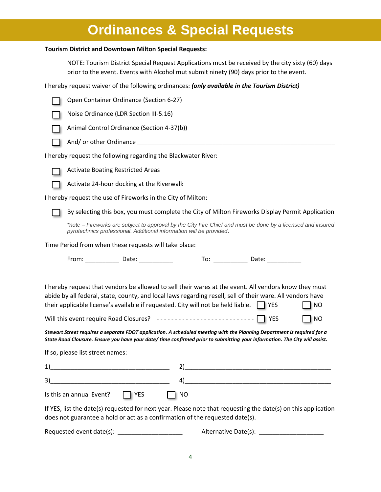### **Ordinances & Special Requests**

#### **Tourism District and Downtown Milton Special Requests:**

NOTE: Tourism District Special Request Applications must be received by the city sixty (60) days prior to the event. Events with Alcohol mut submit ninety (90) days prior to the event.

I hereby request waiver of the following ordinances: *(only available in the Tourism District)*

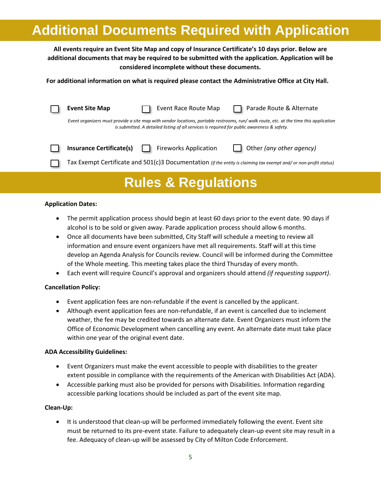## **Additional Documents Required with Application**

**All events require an Event Site Map and copy of Insurance Certificate's 10 days prior. Below are additional documents that may be required to be submitted with the application. Application will be considered incomplete without these documents.**

**For additional information on what is required please contact the Administrative Office at City Hall.** 

| <b>Event Site Map</b>           | Event Race Route Map                                                                        | Parade Route & Alternate                                                                                                               |
|---------------------------------|---------------------------------------------------------------------------------------------|----------------------------------------------------------------------------------------------------------------------------------------|
|                                 | is submitted. A detailed listing of all services is required for public awareness & safety. | Event organizers must provide a site map with vendor locations, portable restrooms, run/ walk route, etc. at the time this application |
| <b>Insurance Certificate(s)</b> | <b>Fireworks Application</b>                                                                | Other (any other agency)                                                                                                               |
|                                 |                                                                                             | Tax Exempt Certificate and 501(c)3 Documentation (if the entity is claiming tax exempt and/ or non-profit status)                      |
|                                 |                                                                                             |                                                                                                                                        |

## **Rules & Regulations**

### **Application Dates:**

- The permit application process should begin at least 60 days prior to the event date. 90 days if alcohol is to be sold or given away. Parade application process should allow 6 months.
- Once all documents have been submitted, City Staff will schedule a meeting to review all information and ensure event organizers have met all requirements. Staff will at this time develop an Agenda Analysis for Councils review. Council will be informed during the Committee of the Whole meeting. This meeting takes place the third Thursday of every month.
- Each event will require Council's approval and organizers should attend *(if requesting support)*.

### **Cancellation Policy:**

- Event application fees are non-refundable if the event is cancelled by the applicant.
- Although event application fees are non-refundable, if an event is cancelled due to inclement weather, the fee may be credited towards an alternate date. Event Organizers must inform the Office of Economic Development when cancelling any event. An alternate date must take place within one year of the original event date.

### **ADA Accessibility Guidelines:**

- Event Organizers must make the event accessible to people with disabilities to the greater extent possible in compliance with the requirements of the American with Disabilities Act (ADA).
- Accessible parking must also be provided for persons with Disabilities. Information regarding accessible parking locations should be included as part of the event site map.

### **Clean-Up:**

• It is understood that clean-up will be performed immediately following the event. Event site must be returned to its pre-event state. Failure to adequately clean-up event site may result in a fee. Adequacy of clean-up will be assessed by City of Milton Code Enforcement.